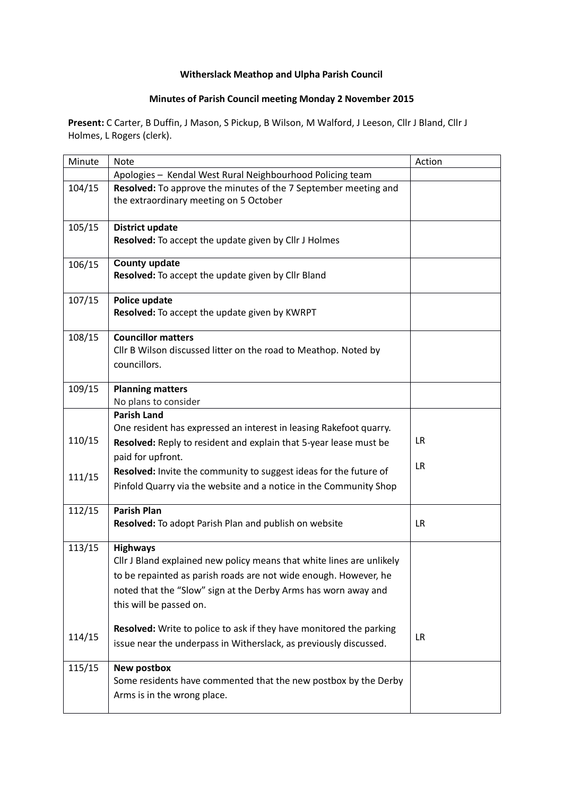## **Witherslack Meathop and Ulpha Parish Council**

## **Minutes of Parish Council meeting Monday 2 November 2015**

**Present:** C Carter, B Duffin, J Mason, S Pickup, B Wilson, M Walford, J Leeson, Cllr J Bland, Cllr J Holmes, L Rogers (clerk).

| Minute | <b>Note</b>                                                                                                                                                                                                                                               | Action    |
|--------|-----------------------------------------------------------------------------------------------------------------------------------------------------------------------------------------------------------------------------------------------------------|-----------|
|        | Apologies - Kendal West Rural Neighbourhood Policing team                                                                                                                                                                                                 |           |
| 104/15 | Resolved: To approve the minutes of the 7 September meeting and<br>the extraordinary meeting on 5 October                                                                                                                                                 |           |
| 105/15 | <b>District update</b><br>Resolved: To accept the update given by Cllr J Holmes                                                                                                                                                                           |           |
| 106/15 | <b>County update</b><br>Resolved: To accept the update given by Cllr Bland                                                                                                                                                                                |           |
| 107/15 | Police update<br>Resolved: To accept the update given by KWRPT                                                                                                                                                                                            |           |
| 108/15 | <b>Councillor matters</b><br>Cllr B Wilson discussed litter on the road to Meathop. Noted by<br>councillors.                                                                                                                                              |           |
| 109/15 | <b>Planning matters</b><br>No plans to consider                                                                                                                                                                                                           |           |
| 110/15 | <b>Parish Land</b><br>One resident has expressed an interest in leasing Rakefoot quarry.<br>Resolved: Reply to resident and explain that 5-year lease must be<br>paid for upfront.                                                                        | <b>LR</b> |
| 111/15 | Resolved: Invite the community to suggest ideas for the future of<br>Pinfold Quarry via the website and a notice in the Community Shop                                                                                                                    | <b>LR</b> |
| 112/15 | <b>Parish Plan</b><br>Resolved: To adopt Parish Plan and publish on website                                                                                                                                                                               | <b>LR</b> |
| 113/15 | <b>Highways</b><br>Cllr J Bland explained new policy means that white lines are unlikely<br>to be repainted as parish roads are not wide enough. However, he<br>noted that the "Slow" sign at the Derby Arms has worn away and<br>this will be passed on. |           |
| 114/15 | Resolved: Write to police to ask if they have monitored the parking<br>issue near the underpass in Witherslack, as previously discussed.                                                                                                                  | <b>LR</b> |
| 115/15 | <b>New postbox</b><br>Some residents have commented that the new postbox by the Derby<br>Arms is in the wrong place.                                                                                                                                      |           |